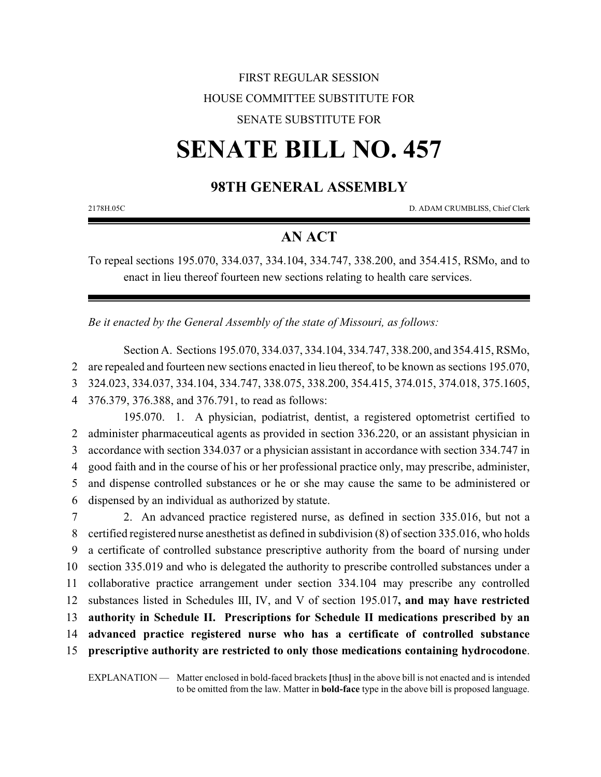## FIRST REGULAR SESSION HOUSE COMMITTEE SUBSTITUTE FOR

### SENATE SUBSTITUTE FOR

# **SENATE BILL NO. 457**

## **98TH GENERAL ASSEMBLY**

2178H.05C D. ADAM CRUMBLISS, Chief Clerk

## **AN ACT**

To repeal sections 195.070, 334.037, 334.104, 334.747, 338.200, and 354.415, RSMo, and to enact in lieu thereof fourteen new sections relating to health care services.

*Be it enacted by the General Assembly of the state of Missouri, as follows:*

Section A. Sections 195.070, 334.037, 334.104, 334.747, 338.200, and 354.415, RSMo,

2 are repealed and fourteen new sections enacted in lieu thereof, to be known as sections 195.070,

3 324.023, 334.037, 334.104, 334.747, 338.075, 338.200, 354.415, 374.015, 374.018, 375.1605,

4 376.379, 376.388, and 376.791, to read as follows:

195.070. 1. A physician, podiatrist, dentist, a registered optometrist certified to administer pharmaceutical agents as provided in section 336.220, or an assistant physician in accordance with section 334.037 or a physician assistant in accordance with section 334.747 in good faith and in the course of his or her professional practice only, may prescribe, administer, and dispense controlled substances or he or she may cause the same to be administered or dispensed by an individual as authorized by statute.

 2. An advanced practice registered nurse, as defined in section 335.016, but not a certified registered nurse anesthetist as defined in subdivision (8) of section 335.016, who holds a certificate of controlled substance prescriptive authority from the board of nursing under section 335.019 and who is delegated the authority to prescribe controlled substances under a collaborative practice arrangement under section 334.104 may prescribe any controlled substances listed in Schedules III, IV, and V of section 195.017**, and may have restricted authority in Schedule II. Prescriptions for Schedule II medications prescribed by an advanced practice registered nurse who has a certificate of controlled substance prescriptive authority are restricted to only those medications containing hydrocodone**.

EXPLANATION — Matter enclosed in bold-faced brackets **[**thus**]** in the above bill is not enacted and is intended to be omitted from the law. Matter in **bold-face** type in the above bill is proposed language.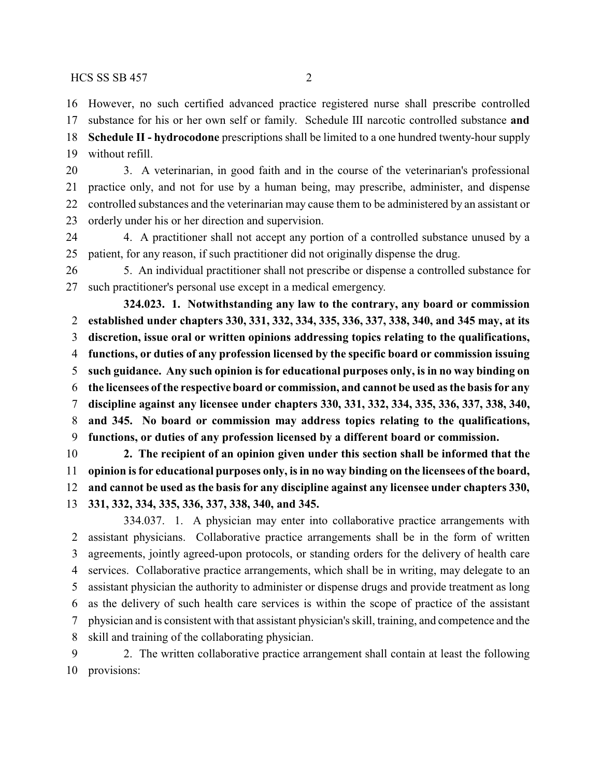However, no such certified advanced practice registered nurse shall prescribe controlled

substance for his or her own self or family. Schedule III narcotic controlled substance **and**

 **Schedule II - hydrocodone** prescriptions shall be limited to a one hundred twenty-hour supply without refill.

 3. A veterinarian, in good faith and in the course of the veterinarian's professional practice only, and not for use by a human being, may prescribe, administer, and dispense controlled substances and the veterinarian may cause them to be administered by an assistant or orderly under his or her direction and supervision.

 4. A practitioner shall not accept any portion of a controlled substance unused by a patient, for any reason, if such practitioner did not originally dispense the drug.

 5. An individual practitioner shall not prescribe or dispense a controlled substance for such practitioner's personal use except in a medical emergency.

**324.023. 1. Notwithstanding any law to the contrary, any board or commission established under chapters 330, 331, 332, 334, 335, 336, 337, 338, 340, and 345 may, at its discretion, issue oral or written opinions addressing topics relating to the qualifications, functions, or duties of any profession licensed by the specific board or commission issuing such guidance. Any such opinion is for educational purposes only, is in no way binding on the licensees of the respective board or commission, and cannot be used as the basis for any discipline against any licensee under chapters 330, 331, 332, 334, 335, 336, 337, 338, 340, and 345. No board or commission may address topics relating to the qualifications, functions, or duties of any profession licensed by a different board or commission. 2. The recipient of an opinion given under this section shall be informed that the**

 **opinion is for educational purposes only, is in no way binding on the licensees of the board, and cannot be used as the basis for any discipline against any licensee under chapters 330, 331, 332, 334, 335, 336, 337, 338, 340, and 345.**

334.037. 1. A physician may enter into collaborative practice arrangements with assistant physicians. Collaborative practice arrangements shall be in the form of written agreements, jointly agreed-upon protocols, or standing orders for the delivery of health care services. Collaborative practice arrangements, which shall be in writing, may delegate to an assistant physician the authority to administer or dispense drugs and provide treatment as long as the delivery of such health care services is within the scope of practice of the assistant physician and is consistent with that assistant physician's skill, training, and competence and the skill and training of the collaborating physician.

 2. The written collaborative practice arrangement shall contain at least the following provisions: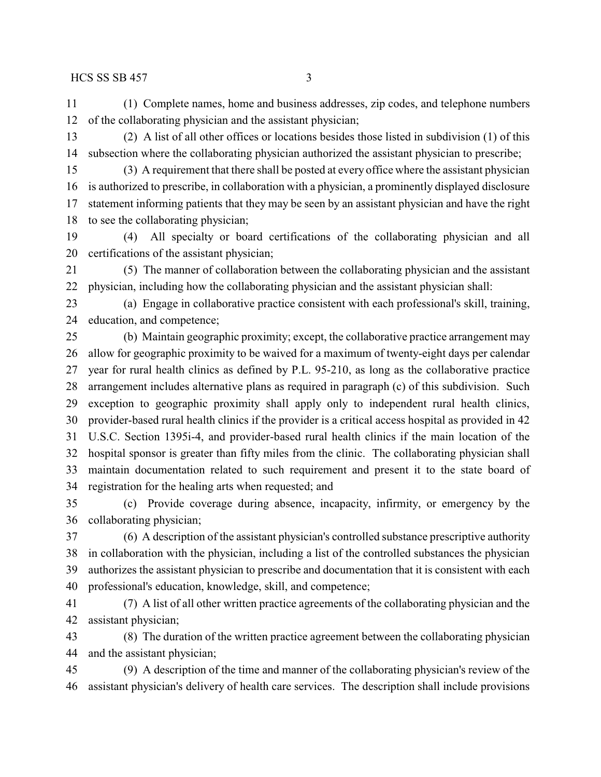(1) Complete names, home and business addresses, zip codes, and telephone numbers of the collaborating physician and the assistant physician;

 (2) A list of all other offices or locations besides those listed in subdivision (1) of this subsection where the collaborating physician authorized the assistant physician to prescribe;

 (3) A requirement that there shall be posted at every office where the assistant physician is authorized to prescribe, in collaboration with a physician, a prominently displayed disclosure statement informing patients that they may be seen by an assistant physician and have the right to see the collaborating physician;

 (4) All specialty or board certifications of the collaborating physician and all certifications of the assistant physician;

 (5) The manner of collaboration between the collaborating physician and the assistant physician, including how the collaborating physician and the assistant physician shall:

 (a) Engage in collaborative practice consistent with each professional's skill, training, education, and competence;

 (b) Maintain geographic proximity; except, the collaborative practice arrangement may allow for geographic proximity to be waived for a maximum of twenty-eight days per calendar year for rural health clinics as defined by P.L. 95-210, as long as the collaborative practice arrangement includes alternative plans as required in paragraph (c) of this subdivision. Such exception to geographic proximity shall apply only to independent rural health clinics, provider-based rural health clinics if the provider is a critical access hospital as provided in 42 U.S.C. Section 1395i-4, and provider-based rural health clinics if the main location of the hospital sponsor is greater than fifty miles from the clinic. The collaborating physician shall maintain documentation related to such requirement and present it to the state board of registration for the healing arts when requested; and

 (c) Provide coverage during absence, incapacity, infirmity, or emergency by the collaborating physician;

 (6) A description of the assistant physician's controlled substance prescriptive authority in collaboration with the physician, including a list of the controlled substances the physician authorizes the assistant physician to prescribe and documentation that it is consistent with each professional's education, knowledge, skill, and competence;

 (7) A list of all other written practice agreements of the collaborating physician and the assistant physician;

 (8) The duration of the written practice agreement between the collaborating physician and the assistant physician;

 (9) A description of the time and manner of the collaborating physician's review of the assistant physician's delivery of health care services. The description shall include provisions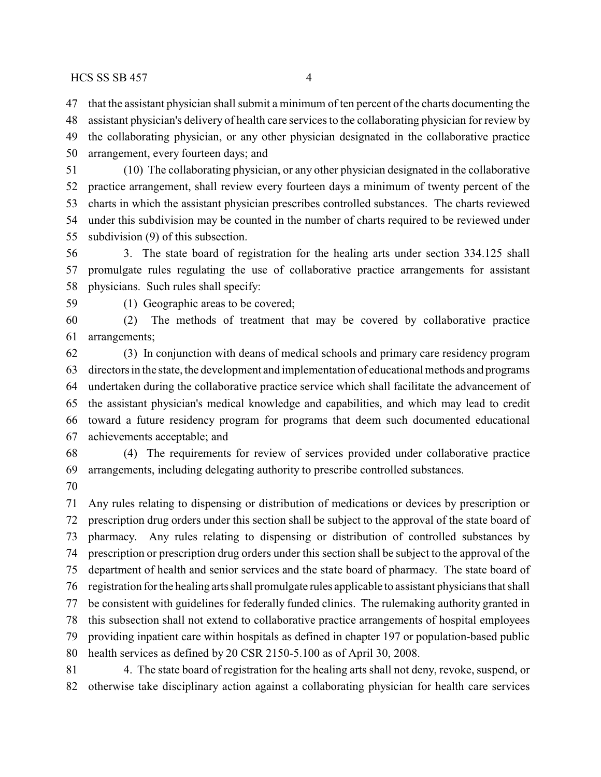that the assistant physician shall submit a minimum of ten percent of the charts documenting the

 assistant physician's delivery of health care services to the collaborating physician for review by the collaborating physician, or any other physician designated in the collaborative practice arrangement, every fourteen days; and

 (10) The collaborating physician, or any other physician designated in the collaborative practice arrangement, shall review every fourteen days a minimum of twenty percent of the charts in which the assistant physician prescribes controlled substances. The charts reviewed under this subdivision may be counted in the number of charts required to be reviewed under subdivision (9) of this subsection.

 3. The state board of registration for the healing arts under section 334.125 shall promulgate rules regulating the use of collaborative practice arrangements for assistant physicians. Such rules shall specify:

(1) Geographic areas to be covered;

 (2) The methods of treatment that may be covered by collaborative practice arrangements;

 (3) In conjunction with deans of medical schools and primary care residency program directors in the state, the development and implementation of educational methods and programs undertaken during the collaborative practice service which shall facilitate the advancement of the assistant physician's medical knowledge and capabilities, and which may lead to credit toward a future residency program for programs that deem such documented educational achievements acceptable; and

 (4) The requirements for review of services provided under collaborative practice arrangements, including delegating authority to prescribe controlled substances.

 Any rules relating to dispensing or distribution of medications or devices by prescription or prescription drug orders under this section shall be subject to the approval of the state board of pharmacy. Any rules relating to dispensing or distribution of controlled substances by prescription or prescription drug orders under this section shall be subject to the approval of the department of health and senior services and the state board of pharmacy. The state board of registration for the healing arts shall promulgate rules applicable to assistant physicians that shall be consistent with guidelines for federally funded clinics. The rulemaking authority granted in this subsection shall not extend to collaborative practice arrangements of hospital employees providing inpatient care within hospitals as defined in chapter 197 or population-based public health services as defined by 20 CSR 2150-5.100 as of April 30, 2008. 4. The state board of registration for the healing arts shall not deny, revoke, suspend, or

otherwise take disciplinary action against a collaborating physician for health care services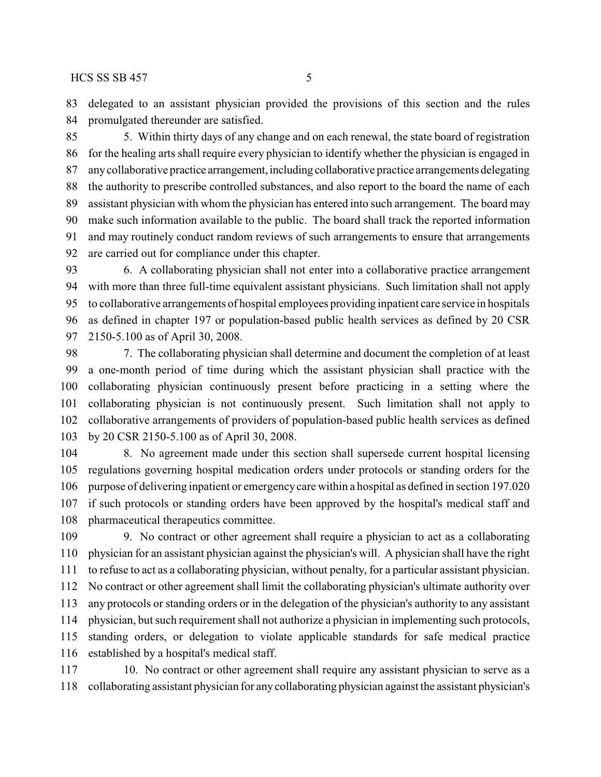delegated to an assistant physician provided the provisions of this section and the rules promulgated thereunder are satisfied.

 5. Within thirty days of any change and on each renewal, the state board of registration for the healing arts shall require every physician to identify whether the physician is engaged in anycollaborative practice arrangement, including collaborative practice arrangements delegating the authority to prescribe controlled substances, and also report to the board the name of each assistant physician with whom the physician has entered into such arrangement. The board may make such information available to the public. The board shall track the reported information and may routinely conduct random reviews of such arrangements to ensure that arrangements are carried out for compliance under this chapter.

 6. A collaborating physician shall not enter into a collaborative practice arrangement with more than three full-time equivalent assistant physicians. Such limitation shall not apply to collaborative arrangements of hospital employees providing inpatient care service in hospitals as defined in chapter 197 or population-based public health services as defined by 20 CSR 2150-5.100 as of April 30, 2008.

 7. The collaborating physician shall determine and document the completion of at least a one-month period of time during which the assistant physician shall practice with the collaborating physician continuously present before practicing in a setting where the collaborating physician is not continuously present. Such limitation shall not apply to collaborative arrangements of providers of population-based public health services as defined by 20 CSR 2150-5.100 as of April 30, 2008.

 8. No agreement made under this section shall supersede current hospital licensing regulations governing hospital medication orders under protocols or standing orders for the purpose of delivering inpatient or emergencycare within a hospital as defined in section 197.020 if such protocols or standing orders have been approved by the hospital's medical staff and pharmaceutical therapeutics committee.

 9. No contract or other agreement shall require a physician to act as a collaborating physician for an assistant physician against the physician's will. A physician shall have the right to refuse to act as a collaborating physician, without penalty, for a particular assistant physician. No contract or other agreement shall limit the collaborating physician's ultimate authority over any protocols or standing orders or in the delegation of the physician's authority to any assistant physician, but such requirement shall not authorize a physician in implementing such protocols, standing orders, or delegation to violate applicable standards for safe medical practice established by a hospital's medical staff.

 10. No contract or other agreement shall require any assistant physician to serve as a collaborating assistant physician for any collaborating physician against the assistant physician's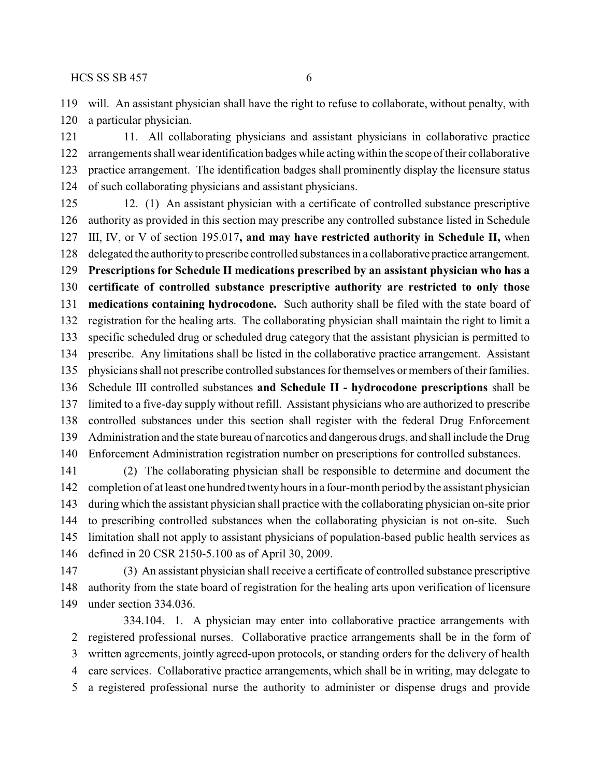will. An assistant physician shall have the right to refuse to collaborate, without penalty, with a particular physician.

 11. All collaborating physicians and assistant physicians in collaborative practice arrangements shall wear identification badgeswhile acting within the scope of their collaborative practice arrangement. The identification badges shall prominently display the licensure status of such collaborating physicians and assistant physicians.

 12. (1) An assistant physician with a certificate of controlled substance prescriptive authority as provided in this section may prescribe any controlled substance listed in Schedule III, IV, or V of section 195.017**, and may have restricted authority in Schedule II,** when delegated the authorityto prescribe controlled substances in a collaborative practice arrangement. **Prescriptions for Schedule II medications prescribed by an assistant physician who has a certificate of controlled substance prescriptive authority are restricted to only those medications containing hydrocodone.** Such authority shall be filed with the state board of registration for the healing arts. The collaborating physician shall maintain the right to limit a specific scheduled drug or scheduled drug category that the assistant physician is permitted to prescribe. Any limitations shall be listed in the collaborative practice arrangement. Assistant physicians shall not prescribe controlled substances for themselves or members oftheir families. Schedule III controlled substances **and Schedule II - hydrocodone prescriptions** shall be limited to a five-day supply without refill. Assistant physicians who are authorized to prescribe controlled substances under this section shall register with the federal Drug Enforcement Administration and the state bureau of narcotics and dangerous drugs, and shall include the Drug Enforcement Administration registration number on prescriptions for controlled substances.

 (2) The collaborating physician shall be responsible to determine and document the completion of at least one hundred twentyhours in a four-month period by the assistant physician during which the assistant physician shall practice with the collaborating physician on-site prior to prescribing controlled substances when the collaborating physician is not on-site. Such limitation shall not apply to assistant physicians of population-based public health services as defined in 20 CSR 2150-5.100 as of April 30, 2009.

 (3) An assistant physician shall receive a certificate of controlled substance prescriptive authority from the state board of registration for the healing arts upon verification of licensure under section 334.036.

334.104. 1. A physician may enter into collaborative practice arrangements with registered professional nurses. Collaborative practice arrangements shall be in the form of written agreements, jointly agreed-upon protocols, or standing orders for the delivery of health care services. Collaborative practice arrangements, which shall be in writing, may delegate to a registered professional nurse the authority to administer or dispense drugs and provide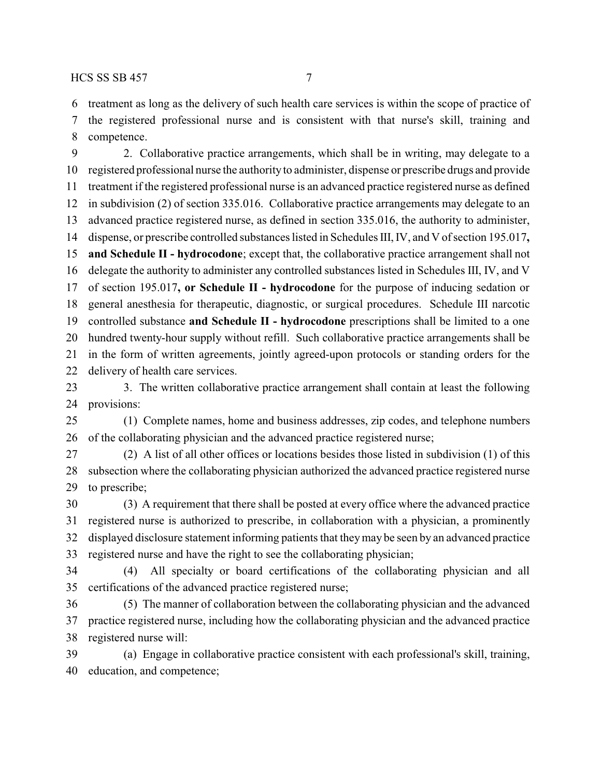treatment as long as the delivery of such health care services is within the scope of practice of the registered professional nurse and is consistent with that nurse's skill, training and competence.

 2. Collaborative practice arrangements, which shall be in writing, may delegate to a registered professional nurse the authority to administer, dispense or prescribe drugs and provide treatment if the registered professional nurse is an advanced practice registered nurse as defined in subdivision (2) of section 335.016. Collaborative practice arrangements may delegate to an advanced practice registered nurse, as defined in section 335.016, the authority to administer, dispense, or prescribe controlled substances listed in Schedules III, IV, and V of section 195.017**, and Schedule II - hydrocodone**; except that, the collaborative practice arrangement shall not delegate the authority to administer any controlled substances listed in Schedules III, IV, and V of section 195.017**, or Schedule II - hydrocodone** for the purpose of inducing sedation or general anesthesia for therapeutic, diagnostic, or surgical procedures. Schedule III narcotic controlled substance **and Schedule II - hydrocodone** prescriptions shall be limited to a one hundred twenty-hour supply without refill. Such collaborative practice arrangements shall be in the form of written agreements, jointly agreed-upon protocols or standing orders for the delivery of health care services.

23 3. The written collaborative practice arrangement shall contain at least the following provisions:

 (1) Complete names, home and business addresses, zip codes, and telephone numbers of the collaborating physician and the advanced practice registered nurse;

 (2) A list of all other offices or locations besides those listed in subdivision (1) of this subsection where the collaborating physician authorized the advanced practice registered nurse to prescribe;

 (3) A requirement that there shall be posted at every office where the advanced practice registered nurse is authorized to prescribe, in collaboration with a physician, a prominently displayed disclosure statement informing patients that theymay be seen by an advanced practice registered nurse and have the right to see the collaborating physician;

 (4) All specialty or board certifications of the collaborating physician and all certifications of the advanced practice registered nurse;

 (5) The manner of collaboration between the collaborating physician and the advanced practice registered nurse, including how the collaborating physician and the advanced practice registered nurse will:

 (a) Engage in collaborative practice consistent with each professional's skill, training, education, and competence;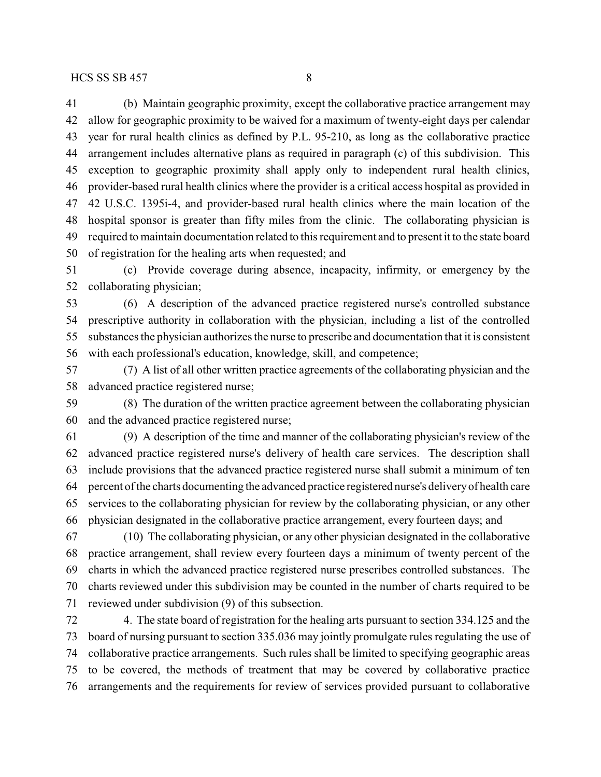(b) Maintain geographic proximity, except the collaborative practice arrangement may allow for geographic proximity to be waived for a maximum of twenty-eight days per calendar year for rural health clinics as defined by P.L. 95-210, as long as the collaborative practice arrangement includes alternative plans as required in paragraph (c) of this subdivision. This exception to geographic proximity shall apply only to independent rural health clinics, provider-based rural health clinics where the provider is a critical access hospital as provided in 42 U.S.C. 1395i-4, and provider-based rural health clinics where the main location of the hospital sponsor is greater than fifty miles from the clinic. The collaborating physician is required to maintain documentation related to this requirement and to present it to the state board of registration for the healing arts when requested; and

 (c) Provide coverage during absence, incapacity, infirmity, or emergency by the collaborating physician;

 (6) A description of the advanced practice registered nurse's controlled substance prescriptive authority in collaboration with the physician, including a list of the controlled substances the physician authorizes the nurse to prescribe and documentation that it is consistent with each professional's education, knowledge, skill, and competence;

 (7) A list of all other written practice agreements of the collaborating physician and the advanced practice registered nurse;

 (8) The duration of the written practice agreement between the collaborating physician and the advanced practice registered nurse;

 (9) A description of the time and manner of the collaborating physician's review of the advanced practice registered nurse's delivery of health care services. The description shall include provisions that the advanced practice registered nurse shall submit a minimum of ten percent of the charts documenting the advanced practice registered nurse's deliveryof health care services to the collaborating physician for review by the collaborating physician, or any other physician designated in the collaborative practice arrangement, every fourteen days; and

 (10) The collaborating physician, or any other physician designated in the collaborative practice arrangement, shall review every fourteen days a minimum of twenty percent of the charts in which the advanced practice registered nurse prescribes controlled substances. The charts reviewed under this subdivision may be counted in the number of charts required to be reviewed under subdivision (9) of this subsection.

 4. The state board of registration for the healing arts pursuant to section 334.125 and the board of nursing pursuant to section 335.036 may jointly promulgate rules regulating the use of collaborative practice arrangements. Such rules shall be limited to specifying geographic areas to be covered, the methods of treatment that may be covered by collaborative practice arrangements and the requirements for review of services provided pursuant to collaborative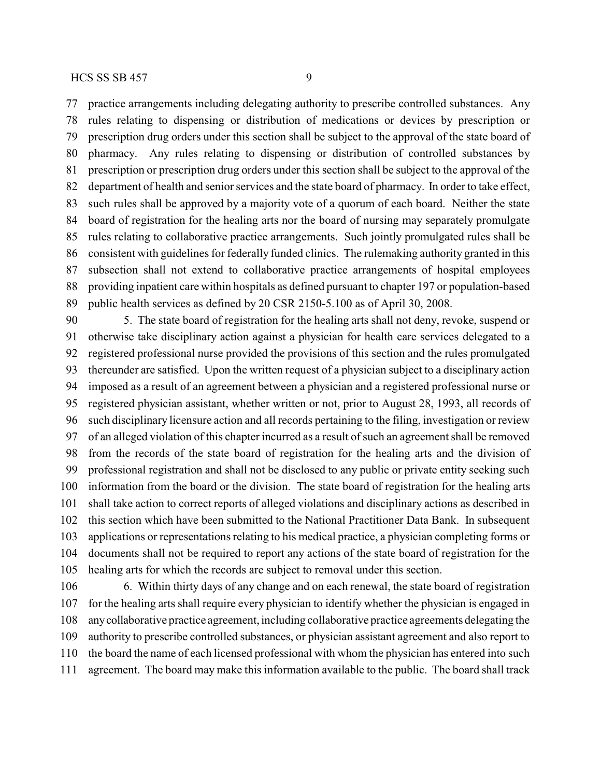practice arrangements including delegating authority to prescribe controlled substances. Any rules relating to dispensing or distribution of medications or devices by prescription or prescription drug orders under this section shall be subject to the approval of the state board of pharmacy. Any rules relating to dispensing or distribution of controlled substances by prescription or prescription drug orders under this section shall be subject to the approval of the department of health and senior services and the state board of pharmacy. In order to take effect, such rules shall be approved by a majority vote of a quorum of each board. Neither the state board of registration for the healing arts nor the board of nursing may separately promulgate rules relating to collaborative practice arrangements. Such jointly promulgated rules shall be consistent with guidelines for federally funded clinics. The rulemaking authority granted in this subsection shall not extend to collaborative practice arrangements of hospital employees providing inpatient care within hospitals as defined pursuant to chapter 197 or population-based public health services as defined by 20 CSR 2150-5.100 as of April 30, 2008.

 5. The state board of registration for the healing arts shall not deny, revoke, suspend or otherwise take disciplinary action against a physician for health care services delegated to a registered professional nurse provided the provisions of this section and the rules promulgated thereunder are satisfied. Upon the written request of a physician subject to a disciplinary action imposed as a result of an agreement between a physician and a registered professional nurse or registered physician assistant, whether written or not, prior to August 28, 1993, all records of such disciplinary licensure action and all records pertaining to the filing, investigation or review of an alleged violation of this chapter incurred as a result of such an agreement shall be removed from the records of the state board of registration for the healing arts and the division of professional registration and shall not be disclosed to any public or private entity seeking such information from the board or the division. The state board of registration for the healing arts shall take action to correct reports of alleged violations and disciplinary actions as described in this section which have been submitted to the National Practitioner Data Bank. In subsequent applications or representations relating to his medical practice, a physician completing forms or documents shall not be required to report any actions of the state board of registration for the healing arts for which the records are subject to removal under this section.

 6. Within thirty days of any change and on each renewal, the state board of registration for the healing arts shall require every physician to identify whether the physician is engaged in anycollaborative practice agreement, including collaborative practice agreements delegating the authority to prescribe controlled substances, or physician assistant agreement and also report to the board the name of each licensed professional with whom the physician has entered into such agreement. The board may make this information available to the public. The board shall track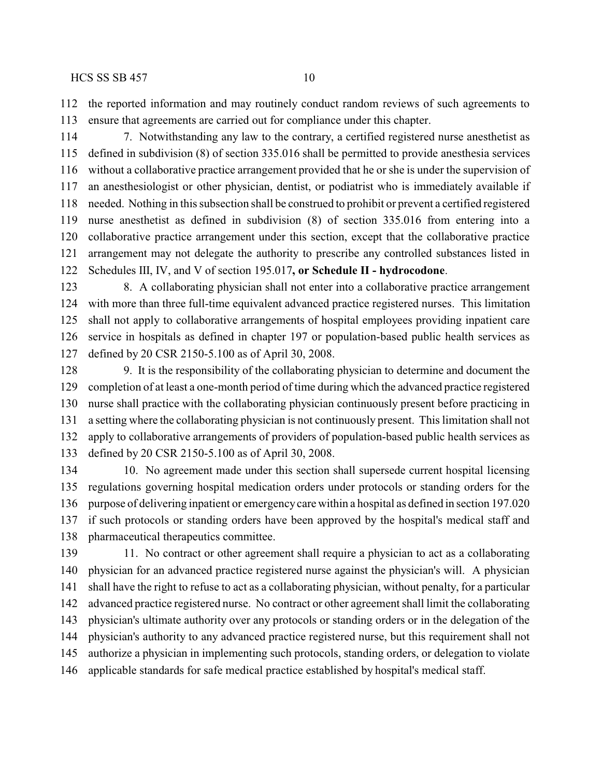the reported information and may routinely conduct random reviews of such agreements to ensure that agreements are carried out for compliance under this chapter.

 7. Notwithstanding any law to the contrary, a certified registered nurse anesthetist as defined in subdivision (8) of section 335.016 shall be permitted to provide anesthesia services without a collaborative practice arrangement provided that he or she is under the supervision of an anesthesiologist or other physician, dentist, or podiatrist who is immediately available if needed. Nothing in this subsection shall be construed to prohibit or prevent a certified registered nurse anesthetist as defined in subdivision (8) of section 335.016 from entering into a collaborative practice arrangement under this section, except that the collaborative practice arrangement may not delegate the authority to prescribe any controlled substances listed in Schedules III, IV, and V of section 195.017**, or Schedule II - hydrocodone**.

 8. A collaborating physician shall not enter into a collaborative practice arrangement with more than three full-time equivalent advanced practice registered nurses. This limitation shall not apply to collaborative arrangements of hospital employees providing inpatient care service in hospitals as defined in chapter 197 or population-based public health services as defined by 20 CSR 2150-5.100 as of April 30, 2008.

 9. It is the responsibility of the collaborating physician to determine and document the completion of at least a one-month period of time during which the advanced practice registered nurse shall practice with the collaborating physician continuously present before practicing in a setting where the collaborating physician is not continuously present. This limitation shall not apply to collaborative arrangements of providers of population-based public health services as defined by 20 CSR 2150-5.100 as of April 30, 2008.

 10. No agreement made under this section shall supersede current hospital licensing regulations governing hospital medication orders under protocols or standing orders for the purpose of delivering inpatient or emergencycare within a hospital as defined in section 197.020 if such protocols or standing orders have been approved by the hospital's medical staff and pharmaceutical therapeutics committee.

 11. No contract or other agreement shall require a physician to act as a collaborating physician for an advanced practice registered nurse against the physician's will. A physician shall have the right to refuse to act as a collaborating physician, without penalty, for a particular advanced practice registered nurse. No contract or other agreement shall limit the collaborating physician's ultimate authority over any protocols or standing orders or in the delegation of the physician's authority to any advanced practice registered nurse, but this requirement shall not authorize a physician in implementing such protocols, standing orders, or delegation to violate applicable standards for safe medical practice established by hospital's medical staff.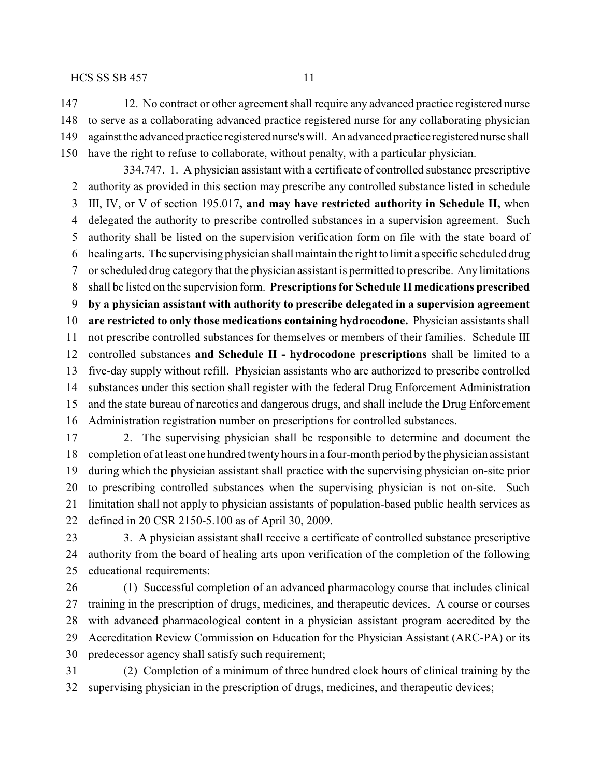12. No contract or other agreement shall require any advanced practice registered nurse to serve as a collaborating advanced practice registered nurse for any collaborating physician against the advanced practice registered nurse's will. An advanced practice registered nurse shall have the right to refuse to collaborate, without penalty, with a particular physician.

334.747. 1. A physician assistant with a certificate of controlled substance prescriptive authority as provided in this section may prescribe any controlled substance listed in schedule III, IV, or V of section 195.017**, and may have restricted authority in Schedule II,** when delegated the authority to prescribe controlled substances in a supervision agreement. Such authority shall be listed on the supervision verification form on file with the state board of healing arts. The supervising physician shall maintain the right to limit a specific scheduled drug or scheduled drug category that the physician assistant is permitted to prescribe. Any limitations shall be listed on the supervision form. **Prescriptions for Schedule II medications prescribed by a physician assistant with authority to prescribe delegated in a supervision agreement are restricted to only those medications containing hydrocodone.** Physician assistants shall not prescribe controlled substances for themselves or members of their families. Schedule III controlled substances **and Schedule II - hydrocodone prescriptions** shall be limited to a five-day supply without refill. Physician assistants who are authorized to prescribe controlled substances under this section shall register with the federal Drug Enforcement Administration and the state bureau of narcotics and dangerous drugs, and shall include the Drug Enforcement Administration registration number on prescriptions for controlled substances.

 2. The supervising physician shall be responsible to determine and document the completion of at least one hundred twentyhours in a four-month period bythe physician assistant during which the physician assistant shall practice with the supervising physician on-site prior to prescribing controlled substances when the supervising physician is not on-site. Such limitation shall not apply to physician assistants of population-based public health services as defined in 20 CSR 2150-5.100 as of April 30, 2009.

 3. A physician assistant shall receive a certificate of controlled substance prescriptive authority from the board of healing arts upon verification of the completion of the following educational requirements:

 (1) Successful completion of an advanced pharmacology course that includes clinical training in the prescription of drugs, medicines, and therapeutic devices. A course or courses with advanced pharmacological content in a physician assistant program accredited by the Accreditation Review Commission on Education for the Physician Assistant (ARC-PA) or its predecessor agency shall satisfy such requirement;

 (2) Completion of a minimum of three hundred clock hours of clinical training by the supervising physician in the prescription of drugs, medicines, and therapeutic devices;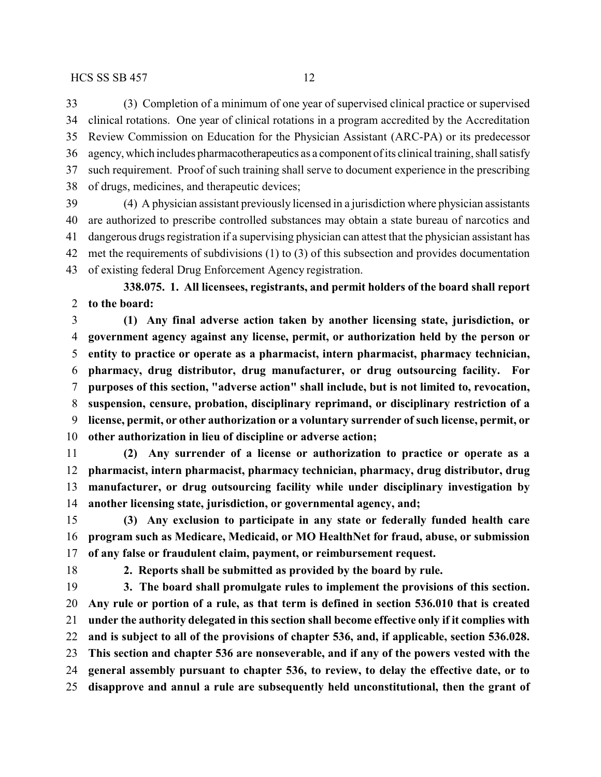(3) Completion of a minimum of one year of supervised clinical practice or supervised clinical rotations. One year of clinical rotations in a program accredited by the Accreditation Review Commission on Education for the Physician Assistant (ARC-PA) or its predecessor agency, which includes pharmacotherapeutics as a component of its clinical training, shall satisfy such requirement. Proof of such training shall serve to document experience in the prescribing of drugs, medicines, and therapeutic devices;

 (4) A physician assistant previously licensed in a jurisdiction where physician assistants are authorized to prescribe controlled substances may obtain a state bureau of narcotics and dangerous drugs registration if a supervising physician can attest that the physician assistant has met the requirements of subdivisions (1) to (3) of this subsection and provides documentation of existing federal Drug Enforcement Agency registration.

**338.075. 1. All licensees, registrants, and permit holders of the board shall report to the board:**

 **(1) Any final adverse action taken by another licensing state, jurisdiction, or government agency against any license, permit, or authorization held by the person or entity to practice or operate as a pharmacist, intern pharmacist, pharmacy technician, pharmacy, drug distributor, drug manufacturer, or drug outsourcing facility. For purposes of this section, "adverse action" shall include, but is not limited to, revocation, suspension, censure, probation, disciplinary reprimand, or disciplinary restriction of a license, permit, or other authorization or a voluntary surrender of such license, permit, or other authorization in lieu of discipline or adverse action;**

 **(2) Any surrender of a license or authorization to practice or operate as a pharmacist, intern pharmacist, pharmacy technician, pharmacy, drug distributor, drug manufacturer, or drug outsourcing facility while under disciplinary investigation by another licensing state, jurisdiction, or governmental agency, and;**

 **(3) Any exclusion to participate in any state or federally funded health care program such as Medicare, Medicaid, or MO HealthNet for fraud, abuse, or submission of any false or fraudulent claim, payment, or reimbursement request.**

**2. Reports shall be submitted as provided by the board by rule.**

 **3. The board shall promulgate rules to implement the provisions of this section. Any rule or portion of a rule, as that term is defined in section 536.010 that is created under the authority delegated in this section shall become effective only if it complies with and is subject to all of the provisions of chapter 536, and, if applicable, section 536.028. This section and chapter 536 are nonseverable, and if any of the powers vested with the general assembly pursuant to chapter 536, to review, to delay the effective date, or to disapprove and annul a rule are subsequently held unconstitutional, then the grant of**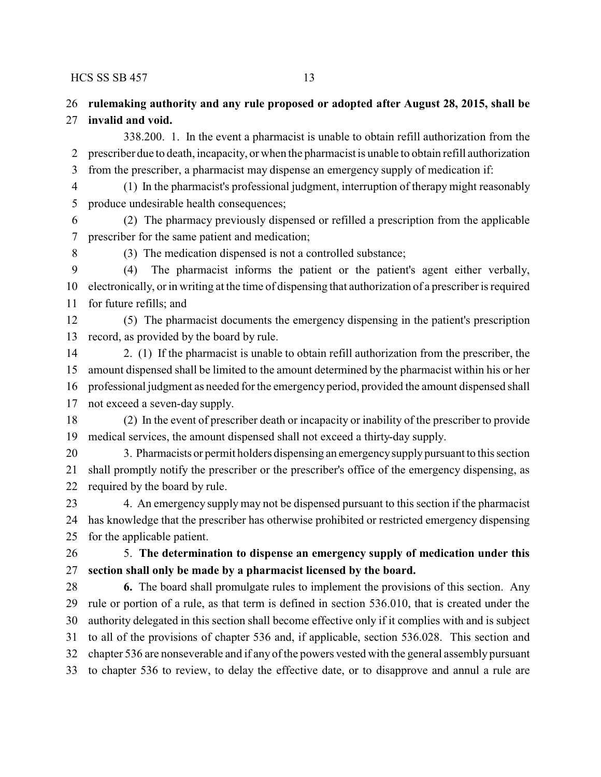## **rulemaking authority and any rule proposed or adopted after August 28, 2015, shall be invalid and void.**

338.200. 1. In the event a pharmacist is unable to obtain refill authorization from the prescriber due to death, incapacity, or when the pharmacist is unable to obtain refill authorization from the prescriber, a pharmacist may dispense an emergency supply of medication if:

 (1) In the pharmacist's professional judgment, interruption of therapy might reasonably produce undesirable health consequences;

 (2) The pharmacy previously dispensed or refilled a prescription from the applicable prescriber for the same patient and medication;

(3) The medication dispensed is not a controlled substance;

 (4) The pharmacist informs the patient or the patient's agent either verbally, electronically, or in writing at the time of dispensing that authorization of a prescriber is required for future refills; and

 (5) The pharmacist documents the emergency dispensing in the patient's prescription record, as provided by the board by rule.

 2. (1) If the pharmacist is unable to obtain refill authorization from the prescriber, the amount dispensed shall be limited to the amount determined by the pharmacist within his or her professional judgment as needed for the emergencyperiod, provided the amount dispensed shall

not exceed a seven-day supply.

 (2) In the event of prescriber death or incapacity or inability of the prescriber to provide medical services, the amount dispensed shall not exceed a thirty-day supply.

 3. Pharmacists or permit holders dispensing an emergencysupplypursuant to this section shall promptly notify the prescriber or the prescriber's office of the emergency dispensing, as required by the board by rule.

 4. An emergency supply may not be dispensed pursuant to this section if the pharmacist has knowledge that the prescriber has otherwise prohibited or restricted emergency dispensing for the applicable patient.

## 5. **The determination to dispense an emergency supply of medication under this section shall only be made by a pharmacist licensed by the board.**

 **6.** The board shall promulgate rules to implement the provisions of this section. Any rule or portion of a rule, as that term is defined in section 536.010, that is created under the authority delegated in this section shall become effective only if it complies with and is subject to all of the provisions of chapter 536 and, if applicable, section 536.028. This section and chapter 536 are nonseverable and if any of the powers vested with the general assembly pursuant to chapter 536 to review, to delay the effective date, or to disapprove and annul a rule are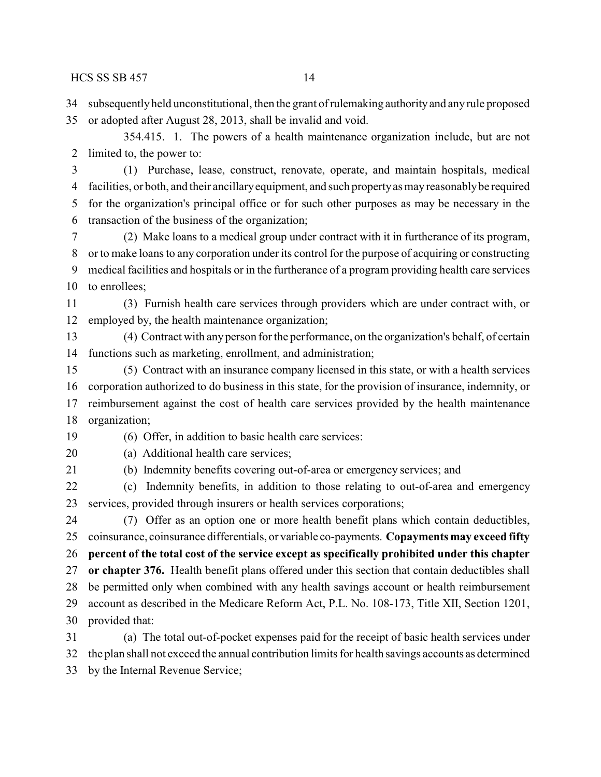subsequentlyheld unconstitutional, then the grant of rulemaking authorityand any rule proposed

or adopted after August 28, 2013, shall be invalid and void.

354.415. 1. The powers of a health maintenance organization include, but are not limited to, the power to:

 (1) Purchase, lease, construct, renovate, operate, and maintain hospitals, medical facilities, or both, and their ancillaryequipment, and such propertyas mayreasonablybe required for the organization's principal office or for such other purposes as may be necessary in the transaction of the business of the organization;

 (2) Make loans to a medical group under contract with it in furtherance of its program, or to make loans to any corporation under its control for the purpose of acquiring or constructing medical facilities and hospitals or in the furtherance of a program providing health care services to enrollees;

 (3) Furnish health care services through providers which are under contract with, or employed by, the health maintenance organization;

 (4) Contract with any person for the performance, on the organization's behalf, of certain functions such as marketing, enrollment, and administration;

 (5) Contract with an insurance company licensed in this state, or with a health services corporation authorized to do business in this state, for the provision of insurance, indemnity, or reimbursement against the cost of health care services provided by the health maintenance organization;

(6) Offer, in addition to basic health care services:

(a) Additional health care services;

(b) Indemnity benefits covering out-of-area or emergency services; and

 (c) Indemnity benefits, in addition to those relating to out-of-area and emergency services, provided through insurers or health services corporations;

 (7) Offer as an option one or more health benefit plans which contain deductibles, coinsurance, coinsurance differentials, or variable co-payments. **Copayments may exceed fifty percent of the total cost of the service except as specifically prohibited under this chapter or chapter 376.** Health benefit plans offered under this section that contain deductibles shall be permitted only when combined with any health savings account or health reimbursement account as described in the Medicare Reform Act, P.L. No. 108-173, Title XII, Section 1201, provided that:

 (a) The total out-of-pocket expenses paid for the receipt of basic health services under the plan shall not exceed the annual contribution limits for health savings accounts as determined by the Internal Revenue Service;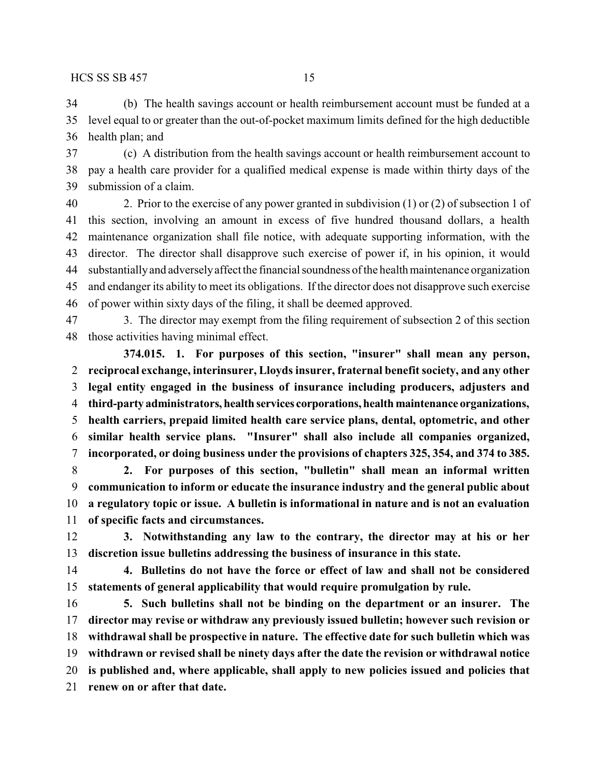(b) The health savings account or health reimbursement account must be funded at a level equal to or greater than the out-of-pocket maximum limits defined for the high deductible health plan; and

 (c) A distribution from the health savings account or health reimbursement account to pay a health care provider for a qualified medical expense is made within thirty days of the submission of a claim.

 2. Prior to the exercise of any power granted in subdivision (1) or (2) of subsection 1 of this section, involving an amount in excess of five hundred thousand dollars, a health maintenance organization shall file notice, with adequate supporting information, with the director. The director shall disapprove such exercise of power if, in his opinion, it would 44 substantially and adversely affect the financial soundness of the health maintenance organization and endanger its ability to meet its obligations. If the director does not disapprove such exercise of power within sixty days of the filing, it shall be deemed approved.

 3. The director may exempt from the filing requirement of subsection 2 of this section those activities having minimal effect.

**374.015. 1. For purposes of this section, "insurer" shall mean any person, reciprocal exchange, interinsurer, Lloyds insurer, fraternal benefit society, and any other legal entity engaged in the business of insurance including producers, adjusters and third-party administrators, health services corporations, health maintenance organizations, health carriers, prepaid limited health care service plans, dental, optometric, and other similar health service plans. "Insurer" shall also include all companies organized, incorporated, or doing business under the provisions of chapters 325, 354, and 374 to 385.**

 **2. For purposes of this section, "bulletin" shall mean an informal written communication to inform or educate the insurance industry and the general public about a regulatory topic or issue. A bulletin is informational in nature and is not an evaluation of specific facts and circumstances.**

 **3. Notwithstanding any law to the contrary, the director may at his or her discretion issue bulletins addressing the business of insurance in this state.**

 **4. Bulletins do not have the force or effect of law and shall not be considered statements of general applicability that would require promulgation by rule.**

 **5. Such bulletins shall not be binding on the department or an insurer. The director may revise or withdraw any previously issued bulletin; however such revision or withdrawal shall be prospective in nature. The effective date for such bulletin which was withdrawn or revised shall be ninety days after the date the revision or withdrawal notice is published and, where applicable, shall apply to new policies issued and policies that renew on or after that date.**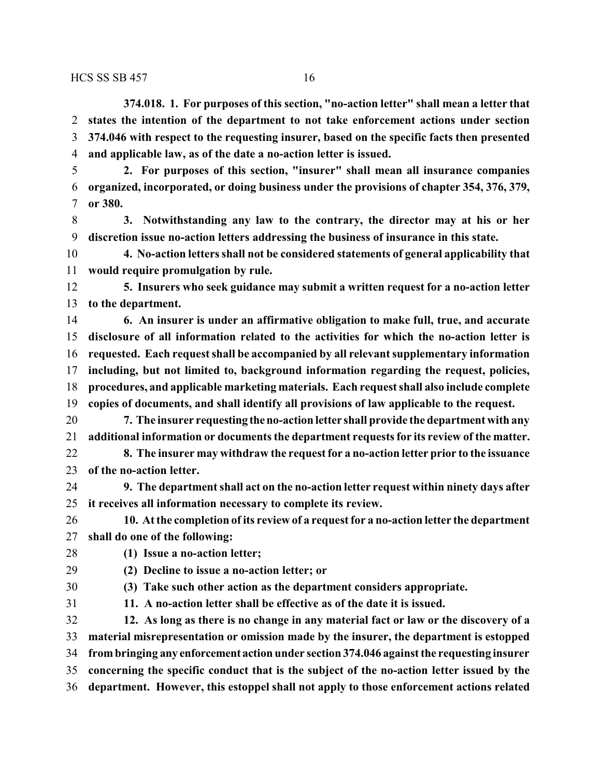**374.018. 1. For purposes of this section, "no-action letter" shall mean a letter that states the intention of the department to not take enforcement actions under section 374.046 with respect to the requesting insurer, based on the specific facts then presented and applicable law, as of the date a no-action letter is issued.**

 **2. For purposes of this section, "insurer" shall mean all insurance companies organized, incorporated, or doing business under the provisions of chapter 354, 376, 379, or 380.**

 **3. Notwithstanding any law to the contrary, the director may at his or her discretion issue no-action letters addressing the business of insurance in this state.**

 **4. No-action letters shall not be considered statements of general applicability that would require promulgation by rule.**

 **5. Insurers who seek guidance may submit a written request for a no-action letter to the department.**

 **6. An insurer is under an affirmative obligation to make full, true, and accurate disclosure of all information related to the activities for which the no-action letter is requested. Each request shall be accompanied by all relevant supplementary information including, but not limited to, background information regarding the request, policies, procedures, and applicable marketing materials. Each request shall also include complete copies of documents, and shall identify all provisions of law applicable to the request.**

 **7. The insurer requesting theno-action letter shall provide the department with any additional information or documents the department requests for its review of the matter.**

 **8. The insurer may withdraw the request for a no-action letter prior to the issuance of the no-action letter.**

 **9. The department shall act on the no-action letter request within ninety days after it receives all information necessary to complete its review.**

 **10. At the completion of its review of a request for a no-action letter the department shall do one of the following:**

**(1) Issue a no-action letter;**

**(2) Decline to issue a no-action letter; or**

**(3) Take such other action as the department considers appropriate.**

**11. A no-action letter shall be effective as of the date it is issued.**

 **12. As long as there is no change in any material fact or law or the discovery of a material misrepresentation or omission made by the insurer, the department is estopped frombringing any enforcement action under section 374.046 against the requesting insurer concerning the specific conduct that is the subject of the no-action letter issued by the department. However, this estoppel shall not apply to those enforcement actions related**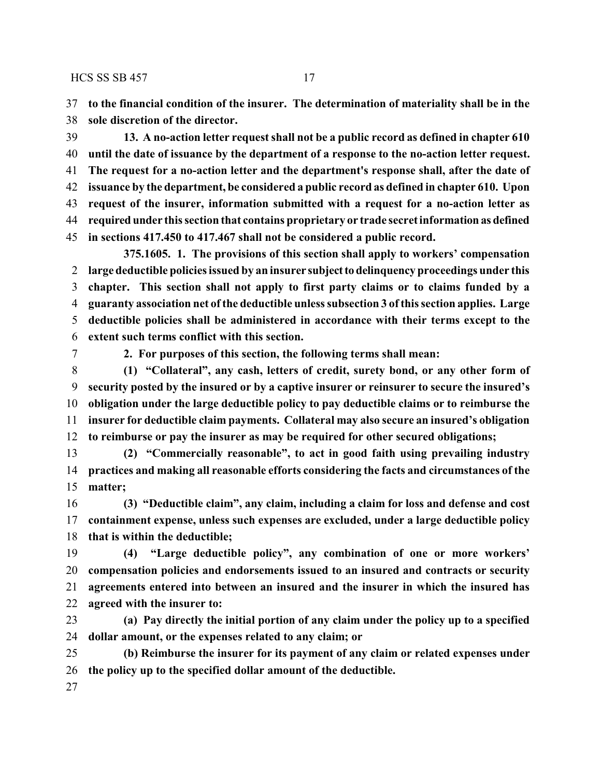**to the financial condition of the insurer. The determination of materiality shall be in the sole discretion of the director.**

 **13. A no-action letter request shall not be a public record as defined in chapter 610 until the date of issuance by the department of a response to the no-action letter request. The request for a no-action letter and the department's response shall, after the date of issuance by the department, be considered a public record as defined in chapter 610. Upon request of the insurer, information submitted with a request for a no-action letter as required under this section that contains proprietary or trade secret information as defined in sections 417.450 to 417.467 shall not be considered a public record.**

**375.1605. 1. The provisions of this section shall apply to workers' compensation large deductible policies issued by an insurer subjectto delinquency proceedings under this chapter. This section shall not apply to first party claims or to claims funded by a guaranty association net of the deductible unless subsection 3 of this section applies. Large deductible policies shall be administered in accordance with their terms except to the extent such terms conflict with this section.**

**2. For purposes of this section, the following terms shall mean:**

 **(1) "Collateral", any cash, letters of credit, surety bond, or any other form of security posted by the insured or by a captive insurer or reinsurer to secure the insured's obligation under the large deductible policy to pay deductible claims or to reimburse the insurer for deductible claim payments. Collateral may also secure an insured's obligation to reimburse or pay the insurer as may be required for other secured obligations;**

 **(2) "Commercially reasonable", to act in good faith using prevailing industry practices and making all reasonable efforts considering the facts and circumstances of the matter;**

 **(3) "Deductible claim", any claim, including a claim for loss and defense and cost containment expense, unless such expenses are excluded, under a large deductible policy that is within the deductible;**

 **(4) "Large deductible policy", any combination of one or more workers' compensation policies and endorsements issued to an insured and contracts or security agreements entered into between an insured and the insurer in which the insured has agreed with the insurer to:**

 **(a) Pay directly the initial portion of any claim under the policy up to a specified dollar amount, or the expenses related to any claim; or**

 **(b) Reimburse the insurer for its payment of any claim or related expenses under the policy up to the specified dollar amount of the deductible.**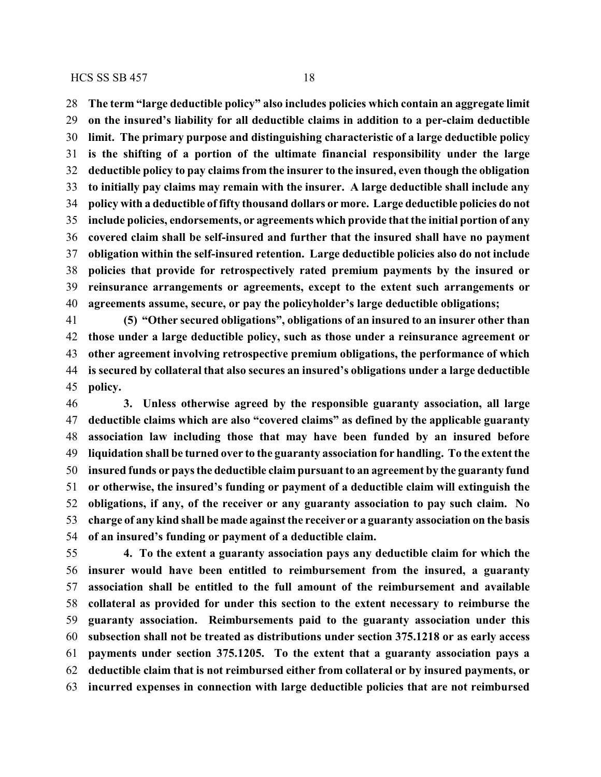**The term "large deductible policy" also includes policies which contain an aggregate limit on the insured's liability for all deductible claims in addition to a per-claim deductible limit. The primary purpose and distinguishing characteristic of a large deductible policy is the shifting of a portion of the ultimate financial responsibility under the large deductible policy to pay claims from the insurer to the insured, even though the obligation to initially pay claims may remain with the insurer. A large deductible shall include any policy with a deductible of fifty thousand dollars or more. Large deductible policies do not include policies, endorsements, or agreements which provide that the initial portion of any covered claim shall be self-insured and further that the insured shall have no payment obligation within the self-insured retention. Large deductible policies also do not include policies that provide for retrospectively rated premium payments by the insured or reinsurance arrangements or agreements, except to the extent such arrangements or agreements assume, secure, or pay the policyholder's large deductible obligations;**

 **(5) "Other secured obligations", obligations of an insured to an insurer other than those under a large deductible policy, such as those under a reinsurance agreement or other agreement involving retrospective premium obligations, the performance of which is secured by collateral that also secures an insured's obligations under a large deductible policy.**

 **3. Unless otherwise agreed by the responsible guaranty association, all large deductible claims which are also "covered claims" as defined by the applicable guaranty association law including those that may have been funded by an insured before liquidation shall be turned over to the guaranty association for handling. To the extent the insured funds or pays the deductible claim pursuant to an agreement by the guaranty fund or otherwise, the insured's funding or payment of a deductible claim will extinguish the obligations, if any, of the receiver or any guaranty association to pay such claim. No charge of any kind shall be made against the receiver or a guaranty association on the basis of an insured's funding or payment of a deductible claim.**

 **4. To the extent a guaranty association pays any deductible claim for which the insurer would have been entitled to reimbursement from the insured, a guaranty association shall be entitled to the full amount of the reimbursement and available collateral as provided for under this section to the extent necessary to reimburse the guaranty association. Reimbursements paid to the guaranty association under this subsection shall not be treated as distributions under section 375.1218 or as early access payments under section 375.1205. To the extent that a guaranty association pays a deductible claim that is not reimbursed either from collateral or by insured payments, or incurred expenses in connection with large deductible policies that are not reimbursed**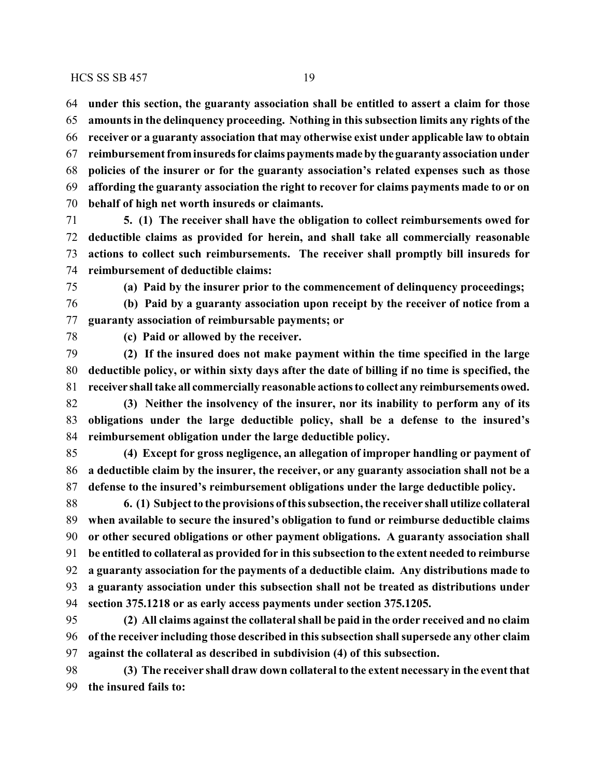**under this section, the guaranty association shall be entitled to assert a claim for those amounts in the delinquency proceeding. Nothing in this subsection limits any rights of the receiver or a guaranty association that may otherwise exist under applicable law to obtain reimbursement frominsuredsfor claims paymentsmadeby the guaranty association under policies of the insurer or for the guaranty association's related expenses such as those affording the guaranty association the right to recover for claims payments made to or on behalf of high net worth insureds or claimants.**

 **5. (1) The receiver shall have the obligation to collect reimbursements owed for deductible claims as provided for herein, and shall take all commercially reasonable actions to collect such reimbursements. The receiver shall promptly bill insureds for reimbursement of deductible claims:**

**(a) Paid by the insurer prior to the commencement of delinquency proceedings;**

 **(b) Paid by a guaranty association upon receipt by the receiver of notice from a guaranty association of reimbursable payments; or**

**(c) Paid or allowed by the receiver.**

 **(2) If the insured does not make payment within the time specified in the large deductible policy, or within sixty days after the date of billing if no time is specified, the receiver shall take all commercially reasonable actions to collectany reimbursements owed.**

 **(3) Neither the insolvency of the insurer, nor its inability to perform any of its obligations under the large deductible policy, shall be a defense to the insured's reimbursement obligation under the large deductible policy.**

 **(4) Except for gross negligence, an allegation of improper handling or payment of a deductible claim by the insurer, the receiver, or any guaranty association shall not be a defense to the insured's reimbursement obligations under the large deductible policy.**

 **6. (1) Subject to the provisions ofthis subsection, the receiver shall utilize collateral when available to secure the insured's obligation to fund or reimburse deductible claims or other secured obligations or other payment obligations. A guaranty association shall be entitled to collateral as provided for in this subsection to the extent needed to reimburse a guaranty association for the payments of a deductible claim. Any distributions made to a guaranty association under this subsection shall not be treated as distributions under section 375.1218 or as early access payments under section 375.1205.**

 **(2) All claims against the collateral shall be paid in the order received and no claim of the receiver including those described in this subsection shall supersede any other claim against the collateral as described in subdivision (4) of this subsection.**

 **(3) The receiver shall draw down collateral to the extent necessary in the event that the insured fails to:**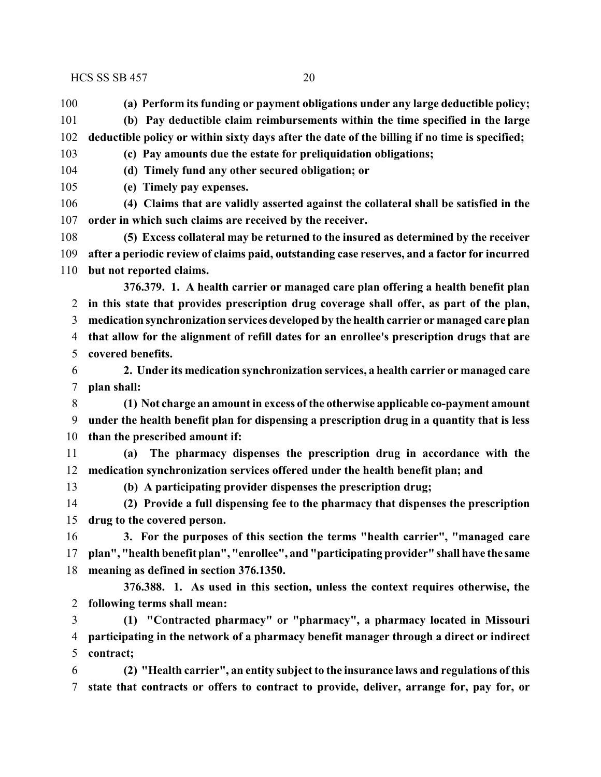**(a) Perform its funding or payment obligations under any large deductible policy;**

- **(b) Pay deductible claim reimbursements within the time specified in the large**
- **deductible policy or within sixty days after the date of the billing if no time is specified;**
- **(c) Pay amounts due the estate for preliquidation obligations;**
- **(d) Timely fund any other secured obligation; or**
- **(e) Timely pay expenses.**
- **(4) Claims that are validly asserted against the collateral shall be satisfied in the order in which such claims are received by the receiver.**
- **(5) Excess collateral may be returned to the insured as determined by the receiver after a periodic review of claims paid, outstanding case reserves, and a factor for incurred but not reported claims.**
	- **376.379. 1. A health carrier or managed care plan offering a health benefit plan in this state that provides prescription drug coverage shall offer, as part of the plan, medication synchronization services developed by the health carrier or managed care plan that allow for the alignment of refill dates for an enrollee's prescription drugs that are covered benefits.**
	- **2. Under its medication synchronization services, a health carrier or managed care plan shall:**
	- **(1) Not charge an amount in excess of the otherwise applicable co-payment amount under the health benefit plan for dispensing a prescription drug in a quantity that is less than the prescribed amount if:**
	- **(a) The pharmacy dispenses the prescription drug in accordance with the medication synchronization services offered under the health benefit plan; and**
- 
- **(b) A participating provider dispenses the prescription drug;**
- **(2) Provide a full dispensing fee to the pharmacy that dispenses the prescription drug to the covered person.**
- **3. For the purposes of this section the terms "health carrier", "managed care plan", "health benefit plan", "enrollee", and "participating provider" shall have the same meaning as defined in section 376.1350.**
- **376.388. 1. As used in this section, unless the context requires otherwise, the following terms shall mean:**
- **(1) "Contracted pharmacy" or "pharmacy", a pharmacy located in Missouri participating in the network of a pharmacy benefit manager through a direct or indirect contract;**
- **(2) "Health carrier", an entity subject to the insurance laws and regulations of this state that contracts or offers to contract to provide, deliver, arrange for, pay for, or**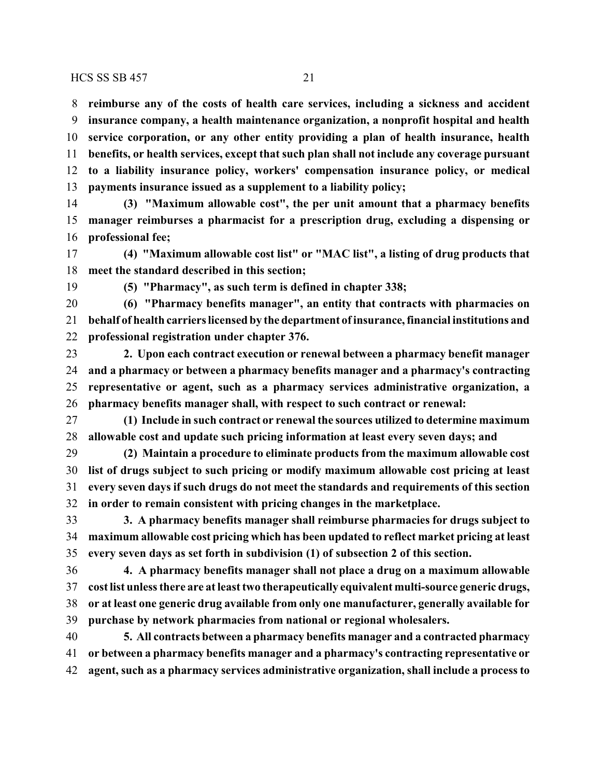**reimburse any of the costs of health care services, including a sickness and accident insurance company, a health maintenance organization, a nonprofit hospital and health service corporation, or any other entity providing a plan of health insurance, health benefits, or health services, except that such plan shall not include any coverage pursuant to a liability insurance policy, workers' compensation insurance policy, or medical payments insurance issued as a supplement to a liability policy;**

 **(3) "Maximum allowable cost", the per unit amount that a pharmacy benefits manager reimburses a pharmacist for a prescription drug, excluding a dispensing or professional fee;**

 **(4) "Maximum allowable cost list" or "MAC list", a listing of drug products that meet the standard described in this section;**

**(5) "Pharmacy", as such term is defined in chapter 338;**

 **(6) "Pharmacy benefits manager", an entity that contracts with pharmacies on behalf of health carriers licensed by the department ofinsurance, financial institutions and professional registration under chapter 376.**

 **2. Upon each contract execution or renewal between a pharmacy benefit manager and a pharmacy or between a pharmacy benefits manager and a pharmacy's contracting representative or agent, such as a pharmacy services administrative organization, a pharmacy benefits manager shall, with respect to such contract or renewal:**

 **(1) Include in such contract or renewal the sources utilized to determine maximum allowable cost and update such pricing information at least every seven days; and**

 **(2) Maintain a procedure to eliminate products from the maximum allowable cost list of drugs subject to such pricing or modify maximum allowable cost pricing at least every seven days if such drugs do not meet the standards and requirements of this section in order to remain consistent with pricing changes in the marketplace.**

 **3. A pharmacy benefits manager shall reimburse pharmacies for drugs subject to maximum allowable cost pricing which has been updated to reflect market pricing at least every seven days as set forth in subdivision (1) of subsection 2 of this section.**

 **4. A pharmacy benefits manager shall not place a drug on a maximum allowable cost list unless there are at least two therapeutically equivalent multi-source generic drugs, or at least one generic drug available from only one manufacturer, generally available for purchase by network pharmacies from national or regional wholesalers.**

 **5. All contracts between a pharmacy benefits manager and a contracted pharmacy or between a pharmacy benefits manager and a pharmacy's contracting representative or agent, such as a pharmacy services administrative organization, shall include a process to**